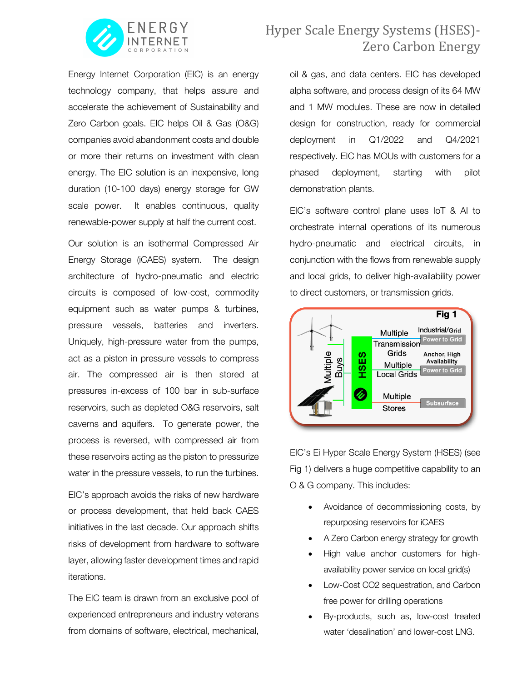

Energy Internet Corporation (EIC) is an energy technology company, that helps assure and accelerate the achievement of Sustainability and Zero Carbon goals. EIC helps Oil & Gas (O&G) companies avoid abandonment costs and double or more their returns on investment with clean energy. The EIC solution is an inexpensive, long duration (10-100 days) energy storage for GW scale power. It enables continuous, quality renewable-power supply at half the current cost.

Our solution is an isothermal Compressed Air Energy Storage (iCAES) system. The design architecture of hydro-pneumatic and electric circuits is composed of low-cost, commodity equipment such as water pumps & turbines, pressure vessels, batteries and inverters. Uniquely, high-pressure water from the pumps, act as a piston in pressure vessels to compress air. The compressed air is then stored at pressures in-excess of 100 bar in sub-surface reservoirs, such as depleted O&G reservoirs, salt caverns and aquifers. To generate power, the process is reversed, with compressed air from these reservoirs acting as the piston to pressurize water in the pressure vessels, to run the turbines.

EIC's approach avoids the risks of new hardware or process development, that held back CAES initiatives in the last decade. Our approach shifts risks of development from hardware to software layer, allowing faster development times and rapid iterations.

The EIC team is drawn from an exclusive pool of experienced entrepreneurs and industry veterans from domains of software, electrical, mechanical,

## Hyper Scale Energy Systems (HSES)-Zero Carbon Energy

oil & gas, and data centers. EIC has developed alpha software, and process design of its 64 MW and 1 MW modules. These are now in detailed design for construction, ready for commercial deployment in Q1/2022 and Q4/2021 respectively. EIC has MOUs with customers for a phased deployment, starting with pilot demonstration plants.

EIC's software control plane uses IoT & AI to orchestrate internal operations of its numerous hydro-pneumatic and electrical circuits, in conjunction with the flows from renewable supply and local grids, to deliver high-availability power to direct customers, or transmission grids.



EIC's Ei Hyper Scale Energy System (HSES) (see Fig 1) delivers a huge competitive capability to an O & G company. This includes:

- Avoidance of decommissioning costs, by repurposing reservoirs for iCAES
- A Zero Carbon energy strategy for growth
- High value anchor customers for highavailability power service on local grid(s)
- Low-Cost CO2 sequestration, and Carbon free power for drilling operations
- By-products, such as, low-cost treated water 'desalination' and lower-cost LNG.